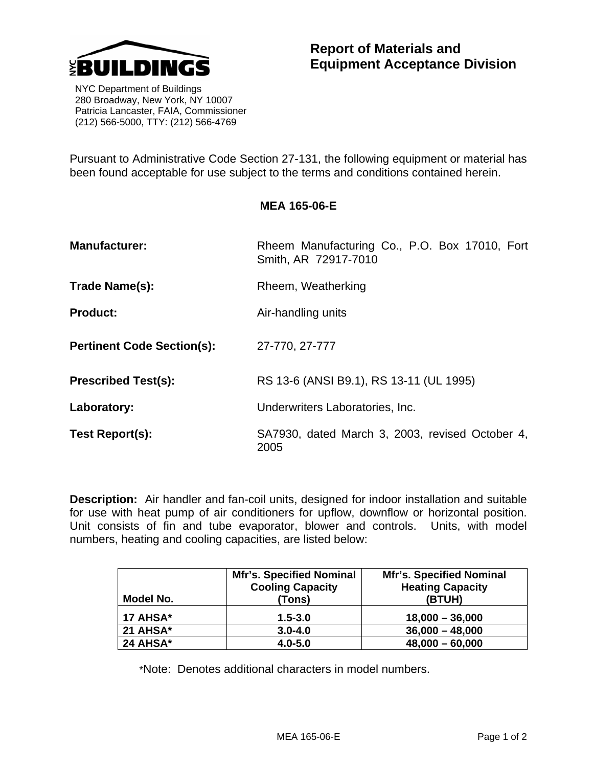

 NYC Department of Buildings 280 Broadway, New York, NY 10007 Patricia Lancaster, FAIA, Commissioner (212) 566-5000, TTY: (212) 566-4769

Pursuant to Administrative Code Section 27-131, the following equipment or material has been found acceptable for use subject to the terms and conditions contained herein.

| <b>MEA 165-06-E</b> |
|---------------------|
|---------------------|

| <b>Manufacturer:</b>              | Rheem Manufacturing Co., P.O. Box 17010, Fort<br>Smith, AR 72917-7010 |  |
|-----------------------------------|-----------------------------------------------------------------------|--|
| Trade Name(s):                    | Rheem, Weatherking                                                    |  |
| <b>Product:</b>                   | Air-handling units                                                    |  |
| <b>Pertinent Code Section(s):</b> | 27-770, 27-777                                                        |  |
| <b>Prescribed Test(s):</b>        | RS 13-6 (ANSI B9.1), RS 13-11 (UL 1995)                               |  |
| Laboratory:                       | Underwriters Laboratories, Inc.                                       |  |
| Test Report(s):                   | SA7930, dated March 3, 2003, revised October 4,<br>2005               |  |

**Description:** Air handler and fan-coil units, designed for indoor installation and suitable for use with heat pump of air conditioners for upflow, downflow or horizontal position. Unit consists of fin and tube evaporator, blower and controls. Units, with model numbers, heating and cooling capacities, are listed below:

| Model No. | <b>Mfr's. Specified Nominal</b><br><b>Cooling Capacity</b><br>(Tons) | <b>Mfr's. Specified Nominal</b><br><b>Heating Capacity</b><br>(BTUH) |
|-----------|----------------------------------------------------------------------|----------------------------------------------------------------------|
| 17 AHSA*  | $1.5 - 3.0$                                                          | $18,000 - 36,000$                                                    |
| 21 AHSA*  | $3.0 - 4.0$                                                          | $36,000 - 48,000$                                                    |
| 24 AHSA*  | $4.0 - 5.0$                                                          | $48,000 - 60,000$                                                    |

\*Note: Denotes additional characters in model numbers.